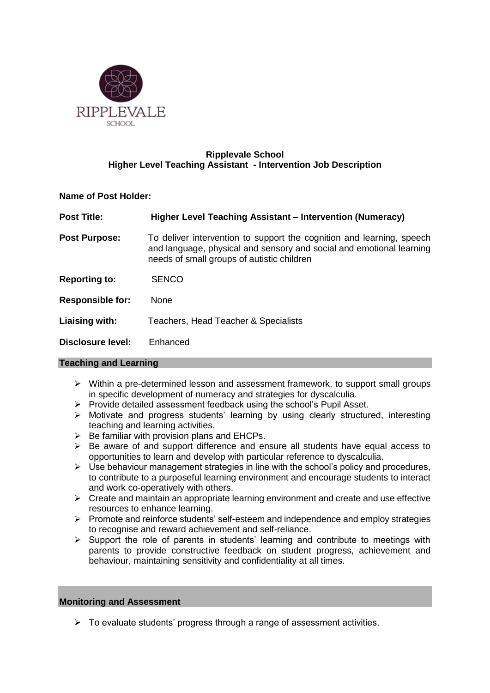

# **Ripplevale School Higher Level Teaching Assistant - Intervention Job Description**

# **Name of Post Holder:**

| <b>Post Title:</b>      | Higher Level Teaching Assistant – Intervention (Numeracy)                                                                                                                                   |  |  |
|-------------------------|---------------------------------------------------------------------------------------------------------------------------------------------------------------------------------------------|--|--|
| <b>Post Purpose:</b>    | To deliver intervention to support the cognition and learning, speech<br>and language, physical and sensory and social and emotional learning<br>needs of small groups of autistic children |  |  |
| <b>Reporting to:</b>    | <b>SENCO</b>                                                                                                                                                                                |  |  |
| <b>Responsible for:</b> | <b>None</b>                                                                                                                                                                                 |  |  |
| Liaising with:          | Teachers, Head Teacher & Specialists                                                                                                                                                        |  |  |
| Disclosure level:       | Enhanced                                                                                                                                                                                    |  |  |

# **Teaching and Learning**

- $\triangleright$  Within a pre-determined lesson and assessment framework, to support small groups in specific development of numeracy and strategies for dyscalculia.
- $\triangleright$  Provide detailed assessment feedback using the school's Pupil Asset.
- Motivate and progress students' learning by using clearly structured, interesting teaching and learning activities.
- $\triangleright$  Be familiar with provision plans and EHCPs.
- $\triangleright$  Be aware of and support difference and ensure all students have equal access to opportunities to learn and develop with particular reference to dyscalculia.
- $\triangleright$  Use behaviour management strategies in line with the school's policy and procedures, to contribute to a purposeful learning environment and encourage students to interact and work co-operatively with others.
- $\triangleright$  Create and maintain an appropriate learning environment and create and use effective resources to enhance learning.
- $\triangleright$  Promote and reinforce students' self-esteem and independence and employ strategies to recognise and reward achievement and self-reliance.
- $\triangleright$  Support the role of parents in students' learning and contribute to meetings with parents to provide constructive feedback on student progress, achievement and behaviour, maintaining sensitivity and confidentiality at all times.

# **Monitoring and Assessment**

 $\triangleright$  To evaluate students' progress through a range of assessment activities.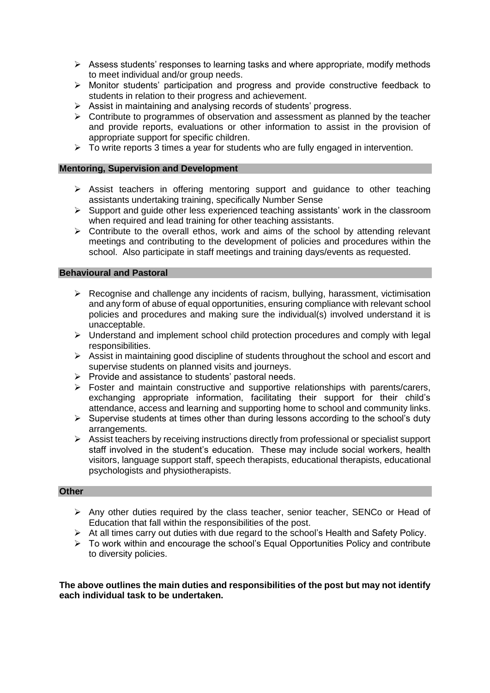- $\triangleright$  Assess students' responses to learning tasks and where appropriate, modify methods to meet individual and/or group needs.
- $\triangleright$  Monitor students' participation and progress and provide constructive feedback to students in relation to their progress and achievement.
- $\triangleright$  Assist in maintaining and analysing records of students' progress.
- $\triangleright$  Contribute to programmes of observation and assessment as planned by the teacher and provide reports, evaluations or other information to assist in the provision of appropriate support for specific children.
- $\triangleright$  To write reports 3 times a year for students who are fully engaged in intervention.

#### **Mentoring, Supervision and Development**

- $\triangleright$  Assist teachers in offering mentoring support and guidance to other teaching assistants undertaking training, specifically Number Sense
- $\triangleright$  Support and quide other less experienced teaching assistants' work in the classroom when required and lead training for other teaching assistants.
- $\triangleright$  Contribute to the overall ethos, work and aims of the school by attending relevant meetings and contributing to the development of policies and procedures within the school. Also participate in staff meetings and training days/events as requested.

### **Behavioural and Pastoral**

- $\triangleright$  Recognise and challenge any incidents of racism, bullying, harassment, victimisation and any form of abuse of equal opportunities, ensuring compliance with relevant school policies and procedures and making sure the individual(s) involved understand it is unacceptable.
- $\triangleright$  Understand and implement school child protection procedures and comply with legal responsibilities.
- $\triangleright$  Assist in maintaining good discipline of students throughout the school and escort and supervise students on planned visits and journeys.
- $\triangleright$  Provide and assistance to students' pastoral needs.
- $\triangleright$  Foster and maintain constructive and supportive relationships with parents/carers, exchanging appropriate information, facilitating their support for their child's attendance, access and learning and supporting home to school and community links.
- $\triangleright$  Supervise students at times other than during lessons according to the school's duty arrangements.
- $\triangleright$  Assist teachers by receiving instructions directly from professional or specialist support staff involved in the student's education. These may include social workers, health visitors, language support staff, speech therapists, educational therapists, educational psychologists and physiotherapists.

### **Other**

- $\triangleright$  Any other duties required by the class teacher, senior teacher, SENCo or Head of Education that fall within the responsibilities of the post.
- $\triangleright$  At all times carry out duties with due regard to the school's Health and Safety Policy.
- $\triangleright$  To work within and encourage the school's Equal Opportunities Policy and contribute to diversity policies.

**The above outlines the main duties and responsibilities of the post but may not identify each individual task to be undertaken.**